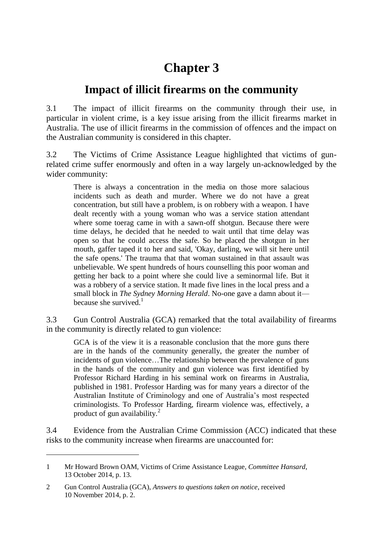# **Chapter 3**

## **Impact of illicit firearms on the community**

3.1 The impact of illicit firearms on the community through their use, in particular in violent crime, is a key issue arising from the illicit firearms market in Australia. The use of illicit firearms in the commission of offences and the impact on the Australian community is considered in this chapter.

3.2 The Victims of Crime Assistance League highlighted that victims of gunrelated crime suffer enormously and often in a way largely un-acknowledged by the wider community:

There is always a concentration in the media on those more salacious incidents such as death and murder. Where we do not have a great concentration, but still have a problem, is on robbery with a weapon. I have dealt recently with a young woman who was a service station attendant where some toerag came in with a sawn-off shotgun. Because there were time delays, he decided that he needed to wait until that time delay was open so that he could access the safe. So he placed the shotgun in her mouth, gaffer taped it to her and said, 'Okay, darling, we will sit here until the safe opens.' The trauma that that woman sustained in that assault was unbelievable. We spent hundreds of hours counselling this poor woman and getting her back to a point where she could live a seminormal life. But it was a robbery of a service station. It made five lines in the local press and a small block in *The Sydney Morning Herald*. No-one gave a damn about it because she survived. $<sup>1</sup>$ </sup>

3.3 Gun Control Australia (GCA) remarked that the total availability of firearms in the community is directly related to gun violence:

GCA is of the view it is a reasonable conclusion that the more guns there are in the hands of the community generally, the greater the number of incidents of gun violence…The relationship between the prevalence of guns in the hands of the community and gun violence was first identified by Professor Richard Harding in his seminal work on firearms in Australia, published in 1981. Professor Harding was for many years a director of the Australian Institute of Criminology and one of Australia's most respected criminologists. To Professor Harding, firearm violence was, effectively, a product of gun availability.<sup>2</sup>

3.4 Evidence from the Australian Crime Commission (ACC) indicated that these risks to the community increase when firearms are unaccounted for:

<sup>1</sup> Mr Howard Brown OAM, Victims of Crime Assistance League, *Committee Hansard*, 13 October 2014, p. 13.

<sup>2</sup> Gun Control Australia (GCA), *Answers to questions taken on notice*, received 10 November 2014, p. 2.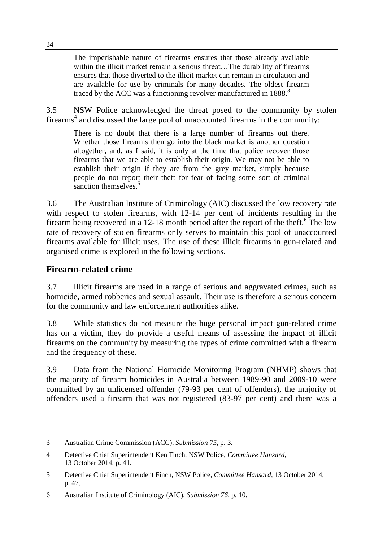The imperishable nature of firearms ensures that those already available within the illicit market remain a serious threat...The durability of firearms ensures that those diverted to the illicit market can remain in circulation and are available for use by criminals for many decades. The oldest firearm traced by the ACC was a functioning revolver manufactured in  $1888$ <sup>3</sup>

3.5 NSW Police acknowledged the threat posed to the community by stolen firearms<sup>4</sup> and discussed the large pool of unaccounted firearms in the community:

There is no doubt that there is a large number of firearms out there. Whether those firearms then go into the black market is another question altogether, and, as I said, it is only at the time that police recover those firearms that we are able to establish their origin. We may not be able to establish their origin if they are from the grey market, simply because people do not report their theft for fear of facing some sort of criminal sanction themselves.<sup>5</sup>

3.6 The Australian Institute of Criminology (AIC) discussed the low recovery rate with respect to stolen firearms, with 12-14 per cent of incidents resulting in the firearm being recovered in a 12-18 month period after the report of the theft.<sup>6</sup> The low rate of recovery of stolen firearms only serves to maintain this pool of unaccounted firearms available for illicit uses. The use of these illicit firearms in gun-related and organised crime is explored in the following sections.

### **Firearm-related crime**

 $\overline{a}$ 

3.7 Illicit firearms are used in a range of serious and aggravated crimes, such as homicide, armed robberies and sexual assault. Their use is therefore a serious concern for the community and law enforcement authorities alike.

3.8 While statistics do not measure the huge personal impact gun-related crime has on a victim, they do provide a useful means of assessing the impact of illicit firearms on the community by measuring the types of crime committed with a firearm and the frequency of these.

3.9 Data from the National Homicide Monitoring Program (NHMP) shows that the majority of firearm homicides in Australia between 1989-90 and 2009-10 were committed by an unlicensed offender (79-93 per cent of offenders), the majority of offenders used a firearm that was not registered (83-97 per cent) and there was a

<sup>3</sup> Australian Crime Commission (ACC), *Submission 75*, p. 3.

<sup>4</sup> Detective Chief Superintendent Ken Finch, NSW Police, *Committee Hansard*, 13 October 2014, p. 41.

<sup>5</sup> Detective Chief Superintendent Finch, NSW Police, *Committee Hansard*, 13 October 2014, p. 47.

<sup>6</sup> Australian Institute of Criminology (AIC), *Submission 76*, p. 10.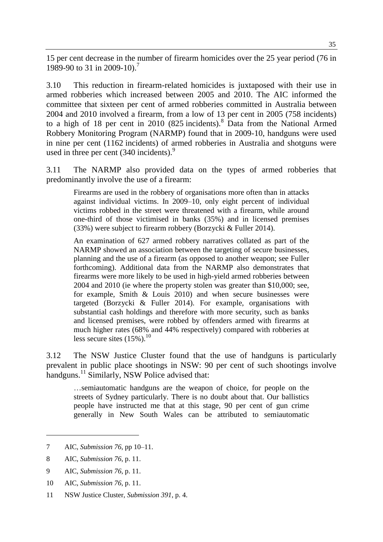15 per cent decrease in the number of firearm homicides over the 25 year period (76 in 1989-90 to 31 in 2009-10).<sup>7</sup>

3.10 This reduction in firearm-related homicides is juxtaposed with their use in armed robberies which increased between 2005 and 2010. The AIC informed the committee that sixteen per cent of armed robberies committed in Australia between 2004 and 2010 involved a firearm, from a low of 13 per cent in 2005 (758 incidents) to a high of 18 per cent in 2010 (825 incidents).<sup>8</sup> Data from the National Armed Robbery Monitoring Program (NARMP) found that in 2009-10, handguns were used in nine per cent (1162 incidents) of armed robberies in Australia and shotguns were used in three per cent  $(340 \text{ incidents})$ .<sup>9</sup>

3.11 The NARMP also provided data on the types of armed robberies that predominantly involve the use of a firearm:

Firearms are used in the robbery of organisations more often than in attacks against individual victims. In 2009–10, only eight percent of individual victims robbed in the street were threatened with a firearm, while around one-third of those victimised in banks (35%) and in licensed premises (33%) were subject to firearm robbery (Borzycki & Fuller 2014).

An examination of 627 armed robbery narratives collated as part of the NARMP showed an association between the targeting of secure businesses, planning and the use of a firearm (as opposed to another weapon; see Fuller forthcoming). Additional data from the NARMP also demonstrates that firearms were more likely to be used in high-yield armed robberies between 2004 and 2010 (ie where the property stolen was greater than \$10,000; see, for example, Smith & Louis 2010) and when secure businesses were targeted (Borzycki & Fuller 2014). For example, organisations with substantial cash holdings and therefore with more security, such as banks and licensed premises, were robbed by offenders armed with firearms at much higher rates (68% and 44% respectively) compared with robberies at less secure sites  $(15\%)$ .<sup>10</sup>

3.12 The NSW Justice Cluster found that the use of handguns is particularly prevalent in public place shootings in NSW: 90 per cent of such shootings involve handguns.<sup>11</sup> Similarly, NSW Police advised that:

…semiautomatic handguns are the weapon of choice, for people on the streets of Sydney particularly. There is no doubt about that. Our ballistics people have instructed me that at this stage, 90 per cent of gun crime generally in New South Wales can be attributed to semiautomatic

8 AIC, *Submission 76*, p. 11.

- 9 AIC, *Submission 76*, p. 11.
- 10 AIC, *Submission 76*, p. 11.
- 11 NSW Justice Cluster, *Submission 391*, p. 4.

<sup>7</sup> AIC, *Submission 76*, pp 10–11.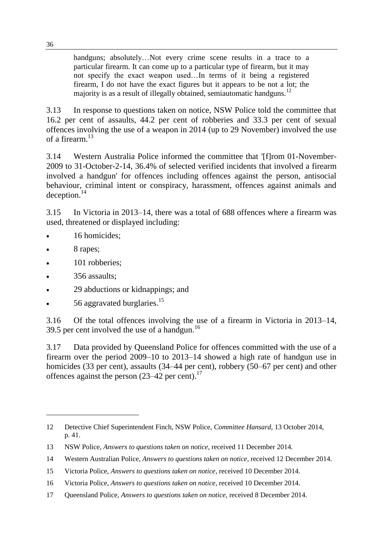handguns; absolutely…Not every crime scene results in a trace to a particular firearm. It can come up to a particular type of firearm, but it may not specify the exact weapon used…In terms of it being a registered firearm, I do not have the exact figures but it appears to be not a lot; the majority is as a result of illegally obtained, semiautomatic handguns.<sup>12</sup>

3.13 In response to questions taken on notice, NSW Police told the committee that 16.2 per cent of assaults, 44.2 per cent of robberies and 33.3 per cent of sexual offences involving the use of a weapon in 2014 (up to 29 November) involved the use of a firearm.<sup>13</sup>

3.14 Western Australia Police informed the committee that '[f]rom 01-November-2009 to 31-October-2-14, 36.4% of selected verified incidents that involved a firearm involved a handgun' for offences including offences against the person, antisocial behaviour, criminal intent or conspiracy, harassment, offences against animals and deception.<sup>14</sup>

3.15 In Victoria in 2013–14, there was a total of 688 offences where a firearm was used, threatened or displayed including:

- 16 homicides;
- 8 rapes;

 $\overline{a}$ 

- 101 robberies;
- 356 assaults;
- 29 abductions or kidnappings; and
- 56 aggravated burglaries.<sup>15</sup>

3.16 Of the total offences involving the use of a firearm in Victoria in 2013–14, 39.5 per cent involved the use of a handgun.<sup>16</sup>

3.17 Data provided by Queensland Police for offences committed with the use of a firearm over the period 2009–10 to 2013–14 showed a high rate of handgun use in homicides (33 per cent), assaults (34–44 per cent), robbery (50–67 per cent) and other offences against the person  $(23-42)$  per cent).<sup>17</sup>

<sup>12</sup> Detective Chief Superintendent Finch, NSW Police, *Committee Hansard*, 13 October 2014, p. 41.

<sup>13</sup> NSW Police, *Answers to questions taken on notice*, received 11 December 2014.

<sup>14</sup> Western Australian Police, *Answers to questions taken on notice*, received 12 December 2014.

<sup>15</sup> Victoria Police, *Answers to questions taken on notice*, received 10 December 2014.

<sup>16</sup> Victoria Police, *Answers to questions taken on notice*, received 10 December 2014.

<sup>17</sup> Queensland Police, *Answers to questions taken on notice*, received 8 December 2014.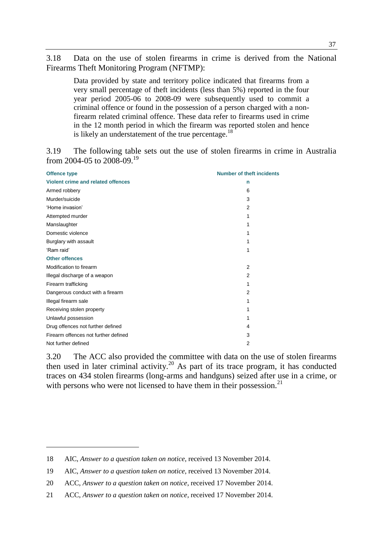3.18 Data on the use of stolen firearms in crime is derived from the National Firearms Theft Monitoring Program (NFTMP):

Data provided by state and territory police indicated that firearms from a very small percentage of theft incidents (less than 5%) reported in the four year period 2005-06 to 2008-09 were subsequently used to commit a criminal offence or found in the possession of a person charged with a nonfirearm related criminal offence. These data refer to firearms used in crime in the 12 month period in which the firearm was reported stolen and hence is likely an understatement of the true percentage. $^{18}$ 

3.19 The following table sets out the use of stolen firearms in crime in Australia from 2004-05 to 2008-09.<sup>19</sup>

| <b>Offence type</b>                  | <b>Number of theft incidents</b> |
|--------------------------------------|----------------------------------|
| Violent crime and related offences   | n                                |
| Armed robbery                        | 6                                |
| Murder/suicide                       | 3                                |
| 'Home invasion'                      | $\overline{2}$                   |
| Attempted murder                     | 1                                |
| Manslaughter                         | 1                                |
| Domestic violence                    | 1                                |
| Burglary with assault                | 1                                |
| 'Ram raid'                           | 1                                |
| <b>Other offences</b>                |                                  |
| Modification to firearm              | $\overline{2}$                   |
| Illegal discharge of a weapon        | 2                                |
| Firearm trafficking                  | 1                                |
| Dangerous conduct with a firearm     | $\overline{2}$                   |
| Illegal firearm sale                 | 1                                |
| Receiving stolen property            | 1                                |
| Unlawful possession                  | 1                                |
| Drug offences not further defined    | 4                                |
| Firearm offences not further defined | 3                                |
| Not further defined                  | $\overline{2}$                   |

3.20 The ACC also provided the committee with data on the use of stolen firearms then used in later criminal activity.<sup>20</sup> As part of its trace program, it has conducted traces on 434 stolen firearms (long-arms and handguns) seized after use in a crime, or with persons who were not licensed to have them in their possession.<sup>21</sup>

<sup>18</sup> AIC, *Answer to a question taken on notice*, received 13 November 2014.

<sup>19</sup> AIC, *Answer to a question taken on notice*, received 13 November 2014.

<sup>20</sup> ACC, *Answer to a question taken on notice*, received 17 November 2014.

<sup>21</sup> ACC, *Answer to a question taken on notice*, received 17 November 2014.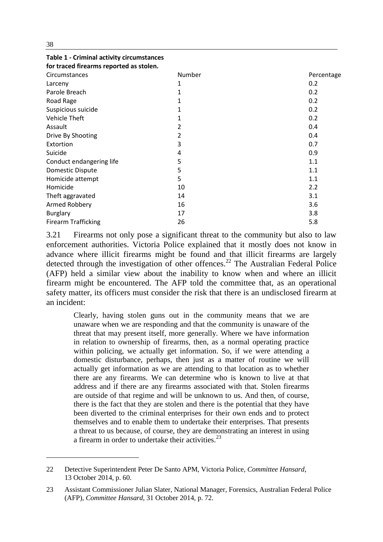| for traced firearms reported as stolen. |        |            |
|-----------------------------------------|--------|------------|
| Circumstances                           | Number | Percentage |
| Larceny                                 | 1      | 0.2        |
| Parole Breach                           | 1      | 0.2        |
| Road Rage                               |        | 0.2        |
| Suspicious suicide                      |        | 0.2        |
| <b>Vehicle Theft</b>                    |        | 0.2        |
| Assault                                 | 2      | 0.4        |
| Drive By Shooting                       | 2      | 0.4        |
| Extortion                               | 3      | 0.7        |
| Suicide                                 | 4      | 0.9        |
| Conduct endangering life                | 5      | 1.1        |
| <b>Domestic Dispute</b>                 | 5      | 1.1        |
| Homicide attempt                        | 5      | 1.1        |
| Homicide                                | 10     | 2.2        |
| Theft aggravated                        | 14     | 3.1        |
| Armed Robbery                           | 16     | 3.6        |
| <b>Burglary</b>                         | 17     | 3.8        |
| <b>Firearm Trafficking</b>              | 26     | 5.8        |

3.21 Firearms not only pose a significant threat to the community but also to law enforcement authorities. Victoria Police explained that it mostly does not know in advance where illicit firearms might be found and that illicit firearms are largely detected through the investigation of other offences.<sup>22</sup> The Australian Federal Police (AFP) held a similar view about the inability to know when and where an illicit firearm might be encountered. The AFP told the committee that, as an operational safety matter, its officers must consider the risk that there is an undisclosed firearm at an incident:

Clearly, having stolen guns out in the community means that we are unaware when we are responding and that the community is unaware of the threat that may present itself, more generally. Where we have information in relation to ownership of firearms, then, as a normal operating practice within policing, we actually get information. So, if we were attending a domestic disturbance, perhaps, then just as a matter of routine we will actually get information as we are attending to that location as to whether there are any firearms. We can determine who is known to live at that address and if there are any firearms associated with that. Stolen firearms are outside of that regime and will be unknown to us. And then, of course, there is the fact that they are stolen and there is the potential that they have been diverted to the criminal enterprises for their own ends and to protect themselves and to enable them to undertake their enterprises. That presents a threat to us because, of course, they are demonstrating an interest in using a firearm in order to undertake their activities.  $2^3$ 

 $\overline{a}$ 

**Table 1 - Criminal activity circumstances** 

<sup>22</sup> Detective Superintendent Peter De Santo APM, Victoria Police, *Committee Hansard*, 13 October 2014, p. 60.

<sup>23</sup> Assistant Commissioner Julian Slater, National Manager, Forensics, Australian Federal Police (AFP), *Committee Hansard*, 31 October 2014, p. 72.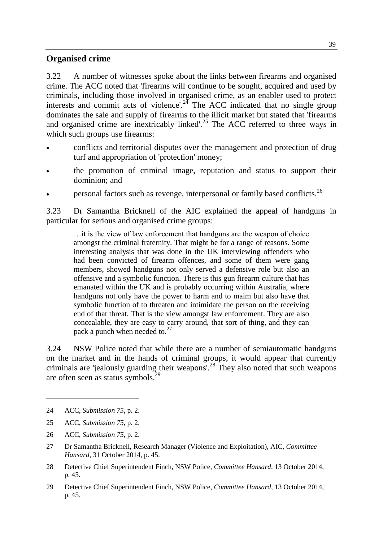#### **Organised crime**

3.22 A number of witnesses spoke about the links between firearms and organised crime. The ACC noted that 'firearms will continue to be sought, acquired and used by criminals, including those involved in organised crime, as an enabler used to protect interests and commit acts of violence'.<sup>24</sup> The ACC indicated that no single group dominates the sale and supply of firearms to the illicit market but stated that 'firearms and organised crime are inextricably linked'.<sup>25</sup> The ACC referred to three ways in which such groups use firearms:

- conflicts and territorial disputes over the management and protection of drug turf and appropriation of 'protection' money;
- the promotion of criminal image, reputation and status to support their dominion; and
- personal factors such as revenge, interpersonal or family based conflicts.<sup>26</sup>

3.23 Dr Samantha Bricknell of the AIC explained the appeal of handguns in particular for serious and organised crime groups:

…it is the view of law enforcement that handguns are the weapon of choice amongst the criminal fraternity. That might be for a range of reasons. Some interesting analysis that was done in the UK interviewing offenders who had been convicted of firearm offences, and some of them were gang members, showed handguns not only served a defensive role but also an offensive and a symbolic function. There is this gun firearm culture that has emanated within the UK and is probably occurring within Australia, where handguns not only have the power to harm and to maim but also have that symbolic function of to threaten and intimidate the person on the receiving end of that threat. That is the view amongst law enforcement. They are also concealable, they are easy to carry around, that sort of thing, and they can pack a punch when needed to. $27$ 

3.24 NSW Police noted that while there are a number of semiautomatic handguns on the market and in the hands of criminal groups, it would appear that currently criminals are 'jealously guarding their weapons'.<sup>28</sup> They also noted that such weapons are often seen as status symbols.<sup>29</sup>

<sup>24</sup> ACC, *Submission 75*, p. 2.

<sup>25</sup> ACC, *Submission 75*, p. 2.

<sup>26</sup> ACC, *Submission 75*, p. 2.

<sup>27</sup> Dr Samantha Bricknell, Research Manager (Violence and Exploitation), AIC, *Committee Hansard*, 31 October 2014, p. 45.

<sup>28</sup> Detective Chief Superintendent Finch, NSW Police, *Committee Hansard*, 13 October 2014, p. 45.

<sup>29</sup> Detective Chief Superintendent Finch, NSW Police, *Committee Hansard*, 13 October 2014, p. 45.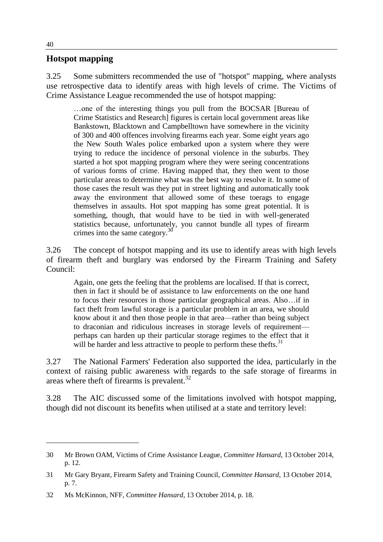#### **Hotspot mapping**

3.25 Some submitters recommended the use of "hotspot" mapping, where analysts use retrospective data to identify areas with high levels of crime. The Victims of Crime Assistance League recommended the use of hotspot mapping:

…one of the interesting things you pull from the BOCSAR [Bureau of Crime Statistics and Research] figures is certain local government areas like Bankstown, Blacktown and Campbelltown have somewhere in the vicinity of 300 and 400 offences involving firearms each year. Some eight years ago the New South Wales police embarked upon a system where they were trying to reduce the incidence of personal violence in the suburbs. They started a hot spot mapping program where they were seeing concentrations of various forms of crime. Having mapped that, they then went to those particular areas to determine what was the best way to resolve it. In some of those cases the result was they put in street lighting and automatically took away the environment that allowed some of these toerags to engage themselves in assaults. Hot spot mapping has some great potential. It is something, though, that would have to be tied in with well-generated statistics because, unfortunately, you cannot bundle all types of firearm crimes into the same category. $30$ 

3.26 The concept of hotspot mapping and its use to identify areas with high levels of firearm theft and burglary was endorsed by the Firearm Training and Safety Council:

Again, one gets the feeling that the problems are localised. If that is correct, then in fact it should be of assistance to law enforcements on the one hand to focus their resources in those particular geographical areas. Also…if in fact theft from lawful storage is a particular problem in an area, we should know about it and then those people in that area—rather than being subject to draconian and ridiculous increases in storage levels of requirement perhaps can harden up their particular storage regimes to the effect that it will be harder and less attractive to people to perform these thefts.<sup>31</sup>

3.27 The National Farmers' Federation also supported the idea, particularly in the context of raising public awareness with regards to the safe storage of firearms in areas where theft of firearms is prevalent.<sup>32</sup>

3.28 The AIC discussed some of the limitations involved with hotspot mapping, though did not discount its benefits when utilised at a state and territory level:

<sup>30</sup> Mr Brown OAM, Victims of Crime Assistance League, *Committee Hansard*, 13 October 2014, p. 12.

<sup>31</sup> Mr Gary Bryant, Firearm Safety and Training Council, *Committee Hansard*, 13 October 2014, p. 7.

<sup>32</sup> Ms McKinnon, NFF, *Committee Hansard*, 13 October 2014, p. 18.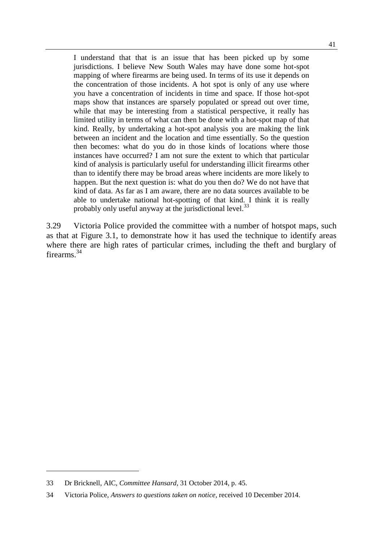I understand that that is an issue that has been picked up by some jurisdictions. I believe New South Wales may have done some hot-spot mapping of where firearms are being used. In terms of its use it depends on the concentration of those incidents. A hot spot is only of any use where you have a concentration of incidents in time and space. If those hot-spot maps show that instances are sparsely populated or spread out over time, while that may be interesting from a statistical perspective, it really has limited utility in terms of what can then be done with a hot-spot map of that kind. Really, by undertaking a hot-spot analysis you are making the link between an incident and the location and time essentially. So the question then becomes: what do you do in those kinds of locations where those instances have occurred? I am not sure the extent to which that particular kind of analysis is particularly useful for understanding illicit firearms other than to identify there may be broad areas where incidents are more likely to happen. But the next question is: what do you then do? We do not have that kind of data. As far as I am aware, there are no data sources available to be able to undertake national hot-spotting of that kind. I think it is really probably only useful anyway at the jurisdictional level.<sup>33</sup>

3.29 Victoria Police provided the committee with a number of hotspot maps, such as that at Figure 3.1, to demonstrate how it has used the technique to identify areas where there are high rates of particular crimes, including the theft and burglary of firearms.<sup>34</sup>

<sup>33</sup> Dr Bricknell, AIC, *Committee Hansard*, 31 October 2014, p. 45.

<sup>34</sup> Victoria Police, *Answers to questions taken on notice*, received 10 December 2014.